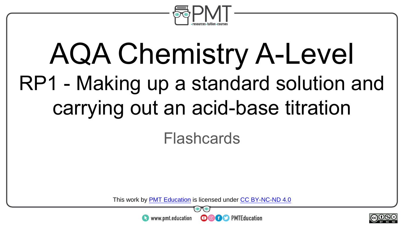

# AQA Chemistry A-Level RP1 - Making up a standard solution and carrying out an acid-base titration

#### Flashcards

This work by <u>PMT Education</u> is licensed under CC BY-NC-ND 4.0<br>
www.pmt.education **in the COOC** PMTEducation



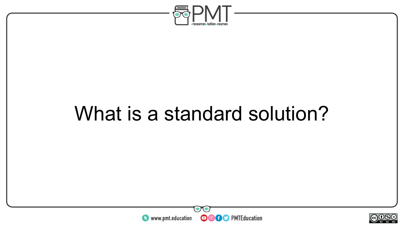

### What is a standard solution?



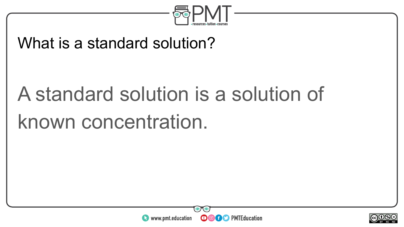

#### What is a standard solution?

# A standard solution is a solution of known concentration.



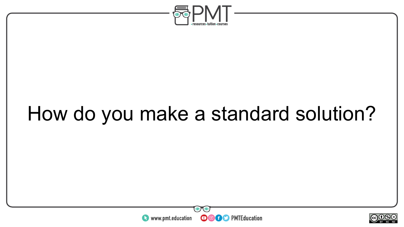

# How do you make a standard solution?



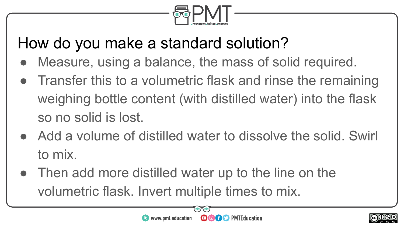

#### How do you make a standard solution?

- Measure, using a balance, the mass of solid required.
- Transfer this to a volumetric flask and rinse the remaining weighing bottle content (with distilled water) into the flask so no solid is lost.
- Add a volume of distilled water to dissolve the solid. Swirl to mix.
- Then add more distilled water up to the line on the volumetric flask. Invert multiple times to mix.

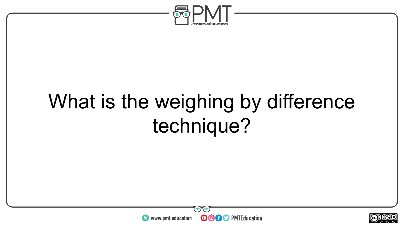

### What is the weighing by difference technique?



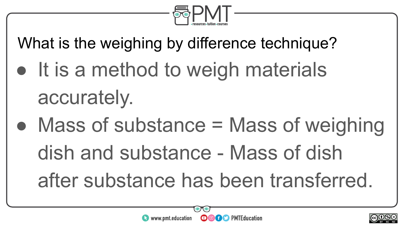

What is the weighing by difference technique?

- It is a method to weigh materials accurately.
- Mass of substance  $=$  Mass of weighing dish and substance - Mass of dish after substance has been transferred.

 $\bullet$ 

**OGO** PMTEducation

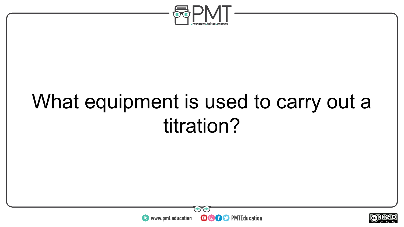

### What equipment is used to carry out a titration?



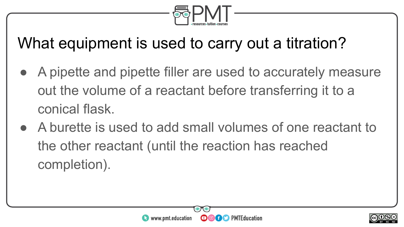

### What equipment is used to carry out a titration?

- A pipette and pipette filler are used to accurately measure out the volume of a reactant before transferring it to a conical flask.
- A burette is used to add small volumes of one reactant to the other reactant (until the reaction has reached completion).



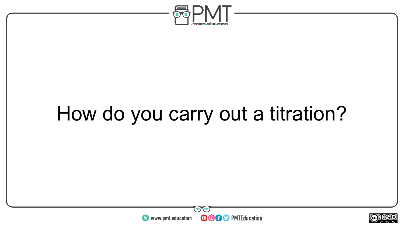

### How do you carry out a titration?



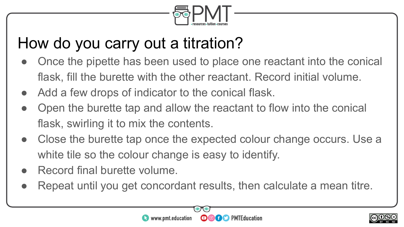

### How do you carry out a titration?

- Once the pipette has been used to place one reactant into the conical flask, fill the burette with the other reactant. Record initial volume.
- Add a few drops of indicator to the conical flask.
- Open the burette tap and allow the reactant to flow into the conical flask, swirling it to mix the contents.
- Close the burette tap once the expected colour change occurs. Use a white tile so the colour change is easy to identify.
- Record final burette volume.
- Repeat until you get concordant results, then calculate a mean titre.



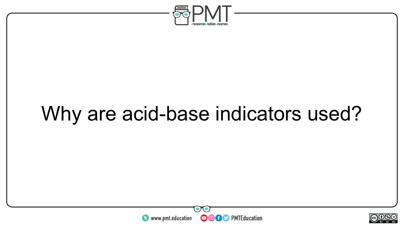

## Why are acid-base indicators used?



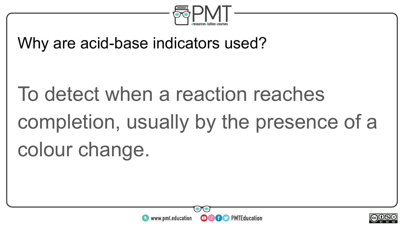

#### Why are acid-base indicators used?

# To detect when a reaction reaches completion, usually by the presence of a colour change.



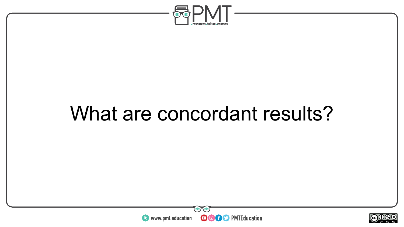

### What are concordant results?



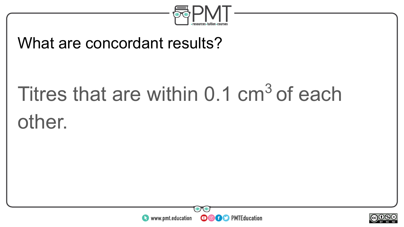

#### What are concordant results?

# Titres that are within  $0.1 \text{ cm}^3$  of each other.



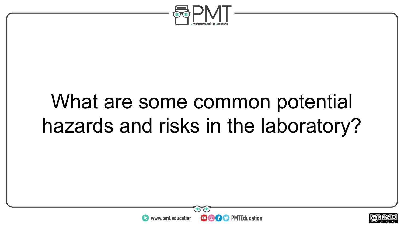

### What are some common potential hazards and risks in the laboratory?